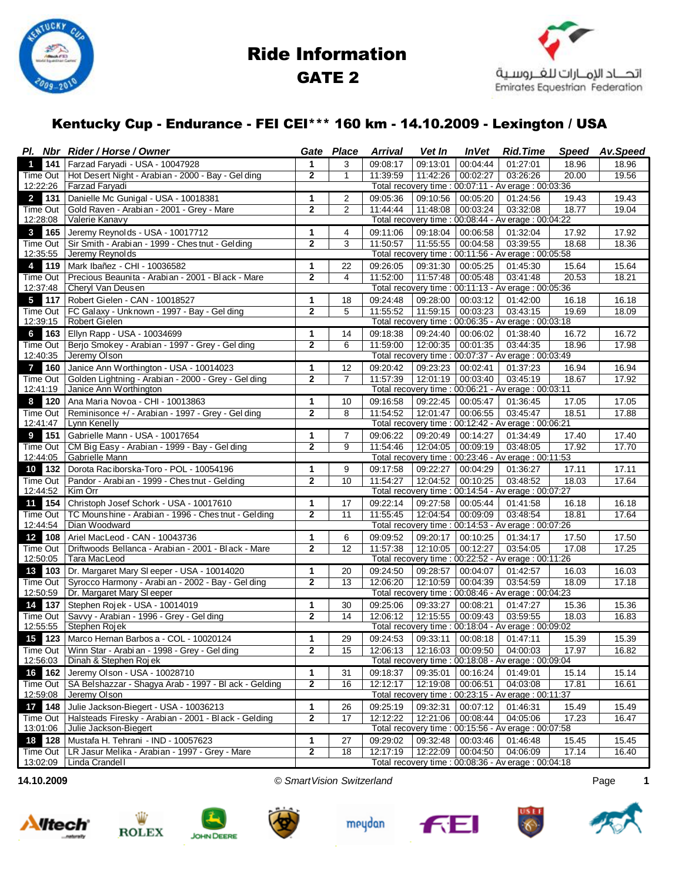

# Ride Information GATE 2



### Kentucky Cup - Endurance - FEI CEI\*\*\* 160 km - 14.10.2009 - Lexington / USA

|                       | Pl. Nbr Rider / Horse / Owner                                       | Gate                                                                                                                              | Place           | <b>Arrival</b>       | Vet In               | <i><b>InVet</b></i>                      | <b>Rid.Time</b>                                                  | <b>Speed</b>   | Av.Speed       |  |
|-----------------------|---------------------------------------------------------------------|-----------------------------------------------------------------------------------------------------------------------------------|-----------------|----------------------|----------------------|------------------------------------------|------------------------------------------------------------------|----------------|----------------|--|
| 141<br>1              | Farzad Faryadi - USA - 10047928                                     | 1                                                                                                                                 | 3               | 09:08:17             | 09:13:01             | 00:04:44                                 | 01:27:01                                                         | 18.96          | 18.96          |  |
| Time Out              | Hot Desert Night - Arabian - 2000 - Bay - Gel ding                  | $\overline{2}$                                                                                                                    | $\mathbf{1}$    | 11:39:59             | 11:42:26             | 00:02:27                                 | 03:26:26                                                         | 20.00          | 19.56          |  |
| 12:22:26              | Farzad Faryadi                                                      |                                                                                                                                   |                 |                      |                      |                                          | Total recovery time: 00:07:11 - Av erage: 00:03:36               |                |                |  |
| 131<br>$\mathbf{2}$   | Danielle Mc Gunigal - USA - 10018381                                | 1                                                                                                                                 | 2               | 09:05:36             | 09:10:56             | 00:05:20                                 | 01:24:56                                                         | 19.43          | 19.43          |  |
| Time Out              | Gold Raven - Arabian - 2001 - Grey - Mare                           | $\overline{2}$                                                                                                                    | $\overline{2}$  | 11:44:44             | 11:48:08             | 00:03:24                                 | 03:32:08                                                         | 18.77          | 19.04          |  |
| 12:28:08              | Valerie Kanavy                                                      |                                                                                                                                   |                 |                      |                      |                                          | Total recovery time : 00:08:44 - Av erage : 00:04:22             |                |                |  |
| 165<br>3              | Jeremy Reynolds - USA - 10017712                                    | 1<br>$\overline{2}$                                                                                                               | 4               | 09:11:06             | 09:18:04             | 00:06:58                                 | 01:32:04                                                         | 17.92          | 17.92          |  |
| Time Out<br>12:35:55  | Sir Smith - Arabian - 1999 - Ches tnut - Gelding<br>Jeremy Reynolds |                                                                                                                                   | 3               | 11:50:57             | 11:55:55             | 00:04:58                                 | 03:39:55                                                         | 18.68          | 18.36          |  |
| 119<br>4              | Mark Ibañez - CHI - 10036582                                        | Total recovery time : 00:11:56 - Av erage : 00:05:58<br>00:05:25<br>1<br>22<br>09:26:05<br>09:31:30<br>01:45:30<br>15.64<br>15.64 |                 |                      |                      |                                          |                                                                  |                |                |  |
| Time Out              | Precious Beaunita - Arabian - 2001 - Black - Mare                   | $\overline{2}$                                                                                                                    | 4               | 11:52:00             | 11:57:48             | 00:05:48                                 | 03:41:48                                                         | 20.53          | 18.21          |  |
| 12:37:48              | Cheryl Van Deusen                                                   |                                                                                                                                   |                 |                      |                      |                                          | Total recovery time : 00:11:13 - Av erage : 00:05:36             |                |                |  |
| 5<br>117              | Robert Gielen - CAN - 10018527                                      | 1                                                                                                                                 | 18              | 09:24:48             | 09:28:00             | 00:03:12                                 | 01:42:00                                                         | 16.18          | 16.18          |  |
| Time Out              | FC Galaxy - Unknown - 1997 - Bay - Gel ding                         | $\mathbf{2}$                                                                                                                      | 5               | 11:55:52             | 11:59:15             | 00:03:23                                 | 03:43:15                                                         | 19.69          | 18.09          |  |
| 12:39:15              | Robert Gielen                                                       | Total recovery time : 00:06:35 - Av erage : 00:03:18                                                                              |                 |                      |                      |                                          |                                                                  |                |                |  |
| 6<br>163              | Ellyn Rapp - USA - 10034699                                         | 1                                                                                                                                 | 14              | 09:18:38             | 09:24:40             | 00:06:02                                 | 01:38:40                                                         | 16.72          | 16.72          |  |
| Time Out              | Berjo Smokey - Arabian - 1997 - Grey - Gel ding                     | $\overline{2}$                                                                                                                    | 6               | 11:59:00             | 12:00:35             | 00:01:35                                 | 03:44:35                                                         | 18.96          | 17.98          |  |
| 12:40:35              | Jeremy Olson                                                        | Total recovery time : 00:07:37 - Av erage : 00:03:49                                                                              |                 |                      |                      |                                          |                                                                  |                |                |  |
| 160<br>$\overline{7}$ | Janice Ann Worthington - USA - 10014023                             | 1                                                                                                                                 | 12              | 09:20:42             | 09:23:23             | 00:02:41                                 | 01:37:23                                                         | 16.94          | 16.94          |  |
| Time Out              | Golden Lightning - Arabian - 2000 - Grey - Gel ding                 | $\overline{2}$                                                                                                                    | $\overline{7}$  | 11:57:39             | 12:01:19             | 00:03:40                                 | 03:45:19                                                         | 18.67          | 17.92          |  |
| 12:41:19              | Janice Ann Worthington                                              |                                                                                                                                   |                 |                      |                      |                                          | Total recovery time : 00:06:21 - Av erage : 00:03:11             |                |                |  |
| 120<br>8              | Ana Maria Novoa - CHI - 10013863                                    | 1                                                                                                                                 | 10              | 09:16:58             | 09:22:45             | 00:05:47                                 | 01:36:45                                                         | 17.05          | 17.05          |  |
| Time Out              | Reminisonce +/ - Arabian - 1997 - Grey - Gel ding                   | 2                                                                                                                                 | 8               | 11:54:52             | 12:01:47             | 00:06:55                                 | 03:45:47                                                         | 18.51          | 17.88          |  |
| 12:41:47              | Lynn Kenelly                                                        |                                                                                                                                   |                 |                      |                      |                                          | Total recovery time : 00:12:42 - Av erage : 00:06:21             |                |                |  |
| 151<br>9              | Gabrielle Mann - USA - 10017654                                     | 1                                                                                                                                 | $\overline{7}$  | 09:06:22             | 09:20:49             | 00:14:27                                 | 01:34:49                                                         | 17.40          | 17.40          |  |
| Time Out<br>12:44:05  | CM Big Easy - Arabian - 1999 - Bay - Gel ding<br>Gabrielle Mann     | 2                                                                                                                                 | 9               | 11:54:46             | 12:04:05             | 00:09:19                                 | 03:48:05<br>Total recovery time : 00:23:46 - Av erage : 00:11:53 | 17.92          | 17.70          |  |
| 132<br>10             | Dorota Raciborska-Toro - POL - 10054196                             |                                                                                                                                   | 9               |                      |                      |                                          |                                                                  |                | 17.11          |  |
| Time Out              | Pandor - Arabi an - 1999 - Ches tnut - Gelding                      | 1<br>$\overline{2}$                                                                                                               | 10              | 09:17:58<br>11:54:27 | 09:22:27<br>12:04:52 | 00:04:29<br>00:10:25                     | 01:36:27<br>03:48:52                                             | 17.11<br>18.03 | 17.64          |  |
| 12:44:52              | Kim Orr                                                             |                                                                                                                                   |                 |                      |                      |                                          | Total recovery time : 00:14:54 - Av erage : 00:07:27             |                |                |  |
| 154<br>11             | Christoph Josef Schork - USA - 10017610                             | $\mathbf{1}$                                                                                                                      | 17              | 09:22:14             | 09:27:58             | 00:05:44                                 | 01:41:58                                                         | 16.18          | 16.18          |  |
| Time Out              | TC Mounshine - Arabian - 1996 - Chestnut - Gelding                  | $\mathbf{2}$                                                                                                                      | 11              | 11:55:45             | 12:04:54             | 00:09:09                                 | 03:48:54                                                         | 18.81          | 17.64          |  |
| 12:44:54              | Dian Woodward                                                       |                                                                                                                                   |                 |                      |                      |                                          | Total recovery time : 00:14:53 - Av erage : 00:07:26             |                |                |  |
| 108<br>12             | Ariel MacLeod - CAN - 10043736                                      | 1                                                                                                                                 | 6               | 09:09:52             | 09:20:17             | 00:10:25                                 | 01:34:17                                                         | 17.50          | 17.50          |  |
| Time Out              | Driftwoods Bellanca - Arabian - 2001 - Black - Mare                 | $\mathbf{2}$                                                                                                                      | 12              | 11:57:38             | 12:10:05             | 00:12:27                                 | 03:54:05                                                         | 17.08          | 17.25          |  |
| 12:50:05              | Tara MacLeod                                                        |                                                                                                                                   |                 |                      |                      |                                          | Total recovery time : 00:22:52 - Av erage : 00:11:26             |                |                |  |
| 103<br>13             | Dr. Margaret Mary SI eeper - USA - 10014020                         | 1                                                                                                                                 | 20              | 09:24:50             | 09:28:57             | 00:04:07                                 | 01:42:57                                                         | 16.03          | 16.03          |  |
| Time Out              | Syrocco Harmony - Arabi an - 2002 - Bay - Gel ding                  | $\overline{2}$                                                                                                                    | 13              | 12:06:20             | 12:10:59             | 00:04:39                                 | 03:54:59                                                         | 18.09          | 17.18          |  |
| 12:50:59              | Dr. Margaret Mary SI eeper                                          | Total recovery time : 00:08:46 - Av erage : 00:04:23                                                                              |                 |                      |                      |                                          |                                                                  |                |                |  |
| 137<br>14             | Stephen Rojek - USA - 10014019                                      | 1                                                                                                                                 | 30              | 09:25:06             | 09:33:27             | 00:08:21                                 | 01:47:27                                                         | 15.36          | 15.36          |  |
| Time Out              | Savvy - Arabian - 1996 - Grey - Gel ding                            | $\mathbf{2}$                                                                                                                      | 14              | 12:06:12             | 12:15:55             | 00:09:43                                 | 03:59:55<br>Total recovery time : 00:18:04 - Av erage : 00:09:02 | 18.03          | 16.83          |  |
| 12:55:55              | Stephen Rojek<br>123 Marco Hernan Barbos a - COL - 10020124         |                                                                                                                                   |                 |                      |                      |                                          |                                                                  |                |                |  |
| 15                    | Winn Star - Arabi an - 1998 - Grey - Gel ding                       | 1                                                                                                                                 | 29              | 09:24:53<br>12:06:13 |                      | 09:33:11   00:08:18<br>12:16:03 00:09:50 | 01:47:11<br>04:00:03                                             | 15.39<br>17.97 | 15.39<br>16.82 |  |
| Time Out<br>12:56:03  | Dinah & Stephen Roj ek                                              | $\mathbf{2}$                                                                                                                      | 15              |                      |                      |                                          | Total recovery time : 00:18:08 - Av erage : 00:09:04             |                |                |  |
| 162<br>16             | Jeremy Olson - USA - 10028710                                       | 1                                                                                                                                 | 31              | 09:18:37             | 09:35:01             | 00:16:24                                 | 01:49:01                                                         | 15.14          | 15.14          |  |
| Time Out              | SA Belshazzar - Shagya Arab - 1997 - Bl ack - Gelding               | $\mathbf 2$                                                                                                                       | 16              | 12:12:17             | 12:19:08             | 00:06:51                                 | 04:03:08                                                         | 17.81          | 16.61          |  |
| 12:59:08              | Jeremy Olson                                                        |                                                                                                                                   |                 |                      |                      |                                          | Total recovery time : 00:23:15 - Av erage : 00:11:37             |                |                |  |
| 148<br>17             | Julie Jackson-Biegert - USA - 10036213                              | 1                                                                                                                                 | 26              | 09:25:19             | 09:32:31             | 00:07:12                                 | 01:46:31                                                         | 15.49          | 15.49          |  |
| Time Out              | Halsteads Firesky - Arabian - 2001 - Black - Gelding                | 2                                                                                                                                 | $\overline{17}$ | 12:12:22             | 12:21:06             | 00:08:44                                 | 04:05:06                                                         | 17.23          | 16.47          |  |
| 13:01:06              | Julie Jackson-Biegert                                               |                                                                                                                                   |                 |                      |                      |                                          | Total recovery time : 00:15:56 - Av erage : 00:07:58             |                |                |  |
| 18 128                | Mustafa H. Tehrani - IND - 10057623                                 | 1                                                                                                                                 | 27              | 09:29:02             | 09:32:48             | 00:03:46                                 | 01:46:48                                                         | 15.45          | 15.45          |  |
| Time Out              | LR Jasur Melika - Arabian - 1997 - Grey - Mare                      | 2                                                                                                                                 | 18              | 12:17:19             | 12:22:09             | 00:04:50                                 | 04:06:09                                                         | 17.14          | 16.40          |  |
| 13:02:09              | Linda Crandell                                                      |                                                                                                                                   |                 |                      |                      |                                          | Total recovery time : 00:08:36 - Av erage : 00:04:18             |                |                |  |















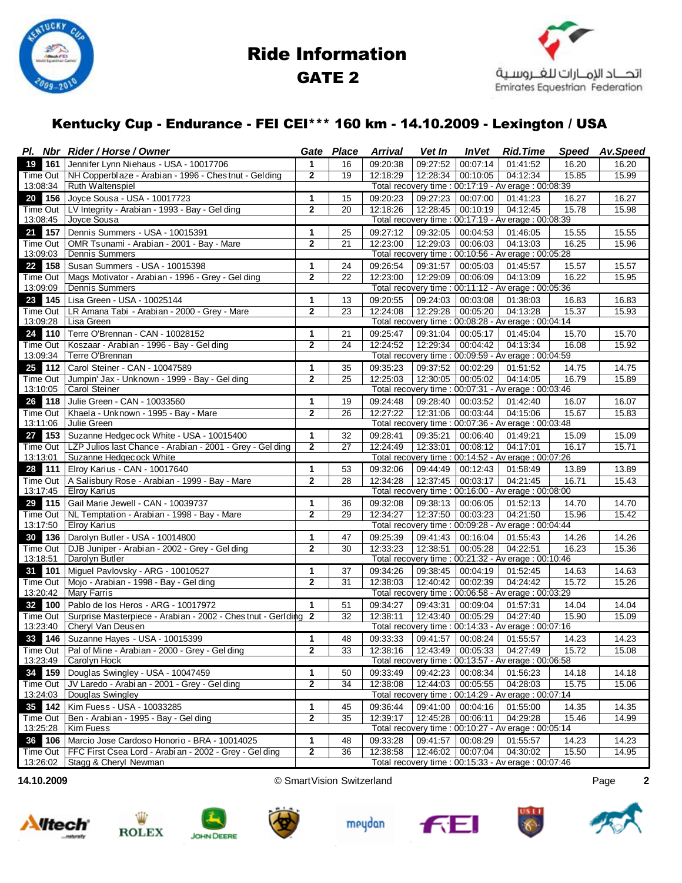

# Ride Information GATE 2



### Kentucky Cup - Endurance - FEI CEI\*\*\* 160 km - 14.10.2009 - Lexington / USA

|                       | Pl. Nbr Rider / Horse / Owner                                  | Gate                                                 | Place           | <b>Arrival</b>       | Vet In               | <i><b>InVet</b></i>  | <b>Rid.Time</b>                                                  | <b>Speed</b>   | Av.Speed       |  |
|-----------------------|----------------------------------------------------------------|------------------------------------------------------|-----------------|----------------------|----------------------|----------------------|------------------------------------------------------------------|----------------|----------------|--|
| 161<br>19             | Jennifer Lynn Niehaus - USA - 10017706                         | $\mathbf{1}$                                         | 16              | 09:20:38             | 09:27:52             | 00:07:14             | 01:41:52                                                         | 16.20          | 16.20          |  |
| Time Out              | NH Copperblaze - Arabian - 1996 - Ches tnut - Gelding          | $\mathbf{2}$                                         | 19              | 12:18:29             | 12:28:34             | 00:10:05             | 04:12:34                                                         | 15.85          | 15.99          |  |
| 13:08:34              | Ruth Waltenspiel                                               |                                                      |                 |                      |                      |                      | Total recovery time : 00:17:19 - Av erage : 00:08:39             |                |                |  |
| 156<br>20             | Joyce Sousa - USA - 10017723                                   | 1                                                    | 15              | 09:20:23             | 09:27:23             | 00:07:00             | 01:41:23                                                         | 16.27          | 16.27          |  |
| Time Out<br>13:08:45  | LV Integrity - Arabian - 1993 - Bay - Gel ding<br>Joyce Sousa  | $\overline{2}$                                       | 20              | 12:18:26             | 12:28:45             | 00:10:19             | 04:12:45<br>Total recovery time: 00:17:19 - Av erage: 00:08:39   | 15.78          | 15.98          |  |
| 157<br>21             | Dennis Summers - USA - 10015391                                | 1                                                    | 25              | 09:27:12             | 09:32:05             | 00:04:53             | 01:46:05                                                         | 15.55          | 15.55          |  |
| Time Out              | OMR Tsunami - Arabian - 2001 - Bay - Mare                      | $\overline{2}$                                       | $\overline{21}$ | 12:23:00             | 12:29:03             | 00:06:03             | 04:13:03                                                         | 16.25          | 15.96          |  |
| 13:09:03              | <b>Dennis Summers</b>                                          | Total recovery time : 00:10:56 - Av erage : 00:05:28 |                 |                      |                      |                      |                                                                  |                |                |  |
| 158<br>22             | Susan Summers - USA - 10015398                                 | $\mathbf 1$                                          | 24              | 09:26:54             | 09:31:57             | 00:05:03             | 01:45:57                                                         | 15.57          | 15.57          |  |
| Time Out              | Mags Motivator - Arabian - 1996 - Grey - Gel ding              | $\overline{2}$                                       | 22              | 12:23:00             | 12:29:09             | 00:06:09             | 04:13:09                                                         | 16.22          | 15.95          |  |
| 13:09:09              | Dennis Summers                                                 |                                                      |                 |                      |                      |                      | Total recovery time : 00:11:12 - Av erage : 00:05:36             |                |                |  |
| 23<br>145             | Lisa Green - USA - 10025144                                    | 1                                                    | 13              | 09:20:55             | 09:24:03             | 00:03:08             | 01:38:03                                                         | 16.83          | 16.83          |  |
| Time Out              | LR Amana Tabi - Arabian - 2000 - Grey - Mare                   | $\overline{2}$                                       | 23              | 12:24:08             | 12:29:28             | 00:05:20             | 04:13:28                                                         | 15.37          | 15.93          |  |
| 13:09:28              | Lisa Green                                                     | Total recovery time : 00:08:28 - Av erage : 00:04:14 |                 |                      |                      |                      |                                                                  |                |                |  |
| 110<br>24             | Terre O'Brennan - CAN - 10028152                               | 1                                                    | 21              | 09:25:47             | 09:31:04             | 00:05:17             | 01:45:04                                                         | 15.70          | 15.70          |  |
| Time Out              | Koszaar - Arabian - 1996 - Bay - Gel ding                      | $\overline{2}$                                       | $\overline{24}$ | 12:24:52             | 12:29:34             | 00:04:42             | 04:13:34                                                         | 16.08          | 15.92          |  |
| 13:09:34              | Terre O'Brennan                                                |                                                      |                 |                      |                      |                      | Total recovery time : 00:09:59 - Av erage : 00:04:59             |                |                |  |
| 25<br>112             | Carol Steiner - CAN - 10047589                                 | 1                                                    | 35              | 09:35:23             | 09:37:52             | 00:02:29             | 01:51:52                                                         | 14.75          | 14.75          |  |
| Time Out              | Jumpin' Jax - Unknown - 1999 - Bay - Gel ding                  | $\mathbf{2}$                                         | 25              | 12:25:03             | 12:30:05             | 00:05:02             | 04:14:05                                                         | 16.79          | 15.89          |  |
| 13:10:05              | Carol Steiner                                                  |                                                      |                 |                      |                      |                      | Total recovery time : 00:07:31 - Av erage : 00:03:46             |                |                |  |
| 118<br>26             | Julie Green - CAN - 10033560                                   | $\mathbf 1$                                          | 19              | 09:24:48             | 09:28:40             | 00:03:52             | 01:42:40                                                         | 16.07          | 16.07          |  |
| Time Out<br>13:11:06  | Khaela - Unknown - 1995 - Bay - Mare<br>Julie Green            | $\mathbf 2$                                          | 26              | 12:27:22             | 12:31:06             | 00:03:44             | 04:15:06<br>Total recovery time : 00:07:36 - Av erage : 00:03:48 | 15.67          | 15.83          |  |
| 153<br>27             | Suzanne Hedgec ock White - USA - 10015400                      | 1                                                    | 32              | 09:28:41             | 09:35:21             | 00:06:40             | 01:49:21                                                         | 15.09          | 15.09          |  |
| Time Out              | LZP Julios last Chance - Arabian - 2001 - Grey - Gel ding      | $\mathbf{2}$                                         | 27              | 12:24:49             | 12:33:01             | 00:08:12             | 04:17:01                                                         | 16.17          | 15.71          |  |
| 13:13:01              | Suzanne Hedgec ock White                                       |                                                      |                 |                      |                      |                      | Total recovery time : 00:14:52 - Av erage : 00:07:26             |                |                |  |
| 111<br>28             | Elroy Karius - CAN - 10017640                                  | 1                                                    | 53              | 09:32:06             | 09:44:49             | 00:12:43             | 01:58:49                                                         | 13.89          | 13.89          |  |
| Time Out              | A Salisbury Rose - Arabian - 1999 - Bay - Mare                 | $\mathbf 2$                                          | 28              | 12:34:28             | 12:37:45             | 00:03:17             | 04:21:45                                                         | 16.71          | 15.43          |  |
| 13:17:45              | <b>Elroy Karius</b>                                            |                                                      |                 |                      |                      |                      | Total recovery time : 00:16:00 - Av erage : 00:08:00             |                |                |  |
| 29<br>115             | Gail Marie Jewell - CAN - 10039737                             | 1                                                    | 36              | 09:32:08             | 09:38:13             | 00:06:05             | 01:52:13                                                         | 14.70          | 14.70          |  |
| Time Out              | NL Temptation - Arabian - 1998 - Bay - Mare                    | 2                                                    | 29              | 12:34:27             | 12:37:50             | 00:03:23             | 04:21:50                                                         | 15.96          | 15.42          |  |
| 13:17:50              | <b>Elroy Karius</b>                                            |                                                      |                 |                      |                      |                      | Total recovery time : 00:09:28 - Av erage : 00:04:44             |                |                |  |
| 30<br>136             | Darolyn Butler - USA - 10014800                                | $\mathbf{1}$                                         | 47              | 09:25:39             | 09:41:43             | 00:16:04             | 01.55.43                                                         | 14.26          | 14.26          |  |
| Time Out              | DJB Juniper - Arabian - 2002 - Grey - Gel ding                 | $\overline{2}$                                       | 30              | 12:33:23             | 12:38:51             | 00:05:28             | 04:22:51                                                         | 16.23          | 15.36          |  |
| 13:18:51              | Darolyn Butler                                                 |                                                      |                 |                      |                      |                      | Total recovery time : 00:21:32 - Av erage : 00:10:46             |                |                |  |
| 31<br>101<br>Time Out | Miguel Pavlovsky - ARG - 10010527                              | 1<br>$\mathbf{2}$                                    | 37<br>31        | 09:34:26<br>12:38:03 | 09:38:45<br>12:40:42 | 00:04:19<br>00:02:39 | 01:52:45<br>04:24:42                                             | 14.63<br>15.72 | 14.63<br>15.26 |  |
| 13:20:42              | Mojo - Arabian - 1998 - Bay - Gel ding<br>Mary Farris          |                                                      |                 |                      |                      |                      | Total recovery time : 00:06:58 - Av erage : 00:03:29             |                |                |  |
| 100<br>32             | Pablo de los Heros - ARG - 10017972                            | $\mathbf{1}$                                         | 51              | 09:34:27             | 09:43:31             | 00:09:04             | 01:57:31                                                         | 14.04          | 14.04          |  |
| Time Out              | Surprise Masterpiece - Arabian - 2002 - Ches tnut - Gerlding 2 |                                                      | 32              | 12:38:11             | 12:43:40             | 00:05:29             | 04:27:40                                                         | 15.90          | 15.09          |  |
| 13:23:40              | Cheryl Van Deusen                                              |                                                      |                 |                      |                      |                      | Total recovery time : 00:14:33 - Av erage : 00:07:16             |                |                |  |
| 33                    | 146   Suzanne Hayes - USA - 10015399                           | $\mathbf 1$                                          | 48              | 09:33:33             | 09:41:57             | 00:08:24             | 01:55:57                                                         | 14.23          | 14.23          |  |
| Time Out              | Pal of Mine - Arabian - 2000 - Grey - Gel ding                 | $\mathbf{2}$                                         | 33              | 12:38:16             |                      | 12:43:49 00:05:33    | 04:27:49                                                         | 15.72          | 15.08          |  |
| 13:23:49              | Carolyn Hock                                                   |                                                      |                 |                      |                      |                      | Total recovery time : 00:13:57 - Av erage : 00:06:58             |                |                |  |
| 159<br>34             | Douglas Swingley - USA - 10047459                              | 1                                                    | 50              | 09:33:49             | 09:42:23             | 00:08:34             | 01:56:23                                                         | 14.18          | 14.18          |  |
| Time Out              | JV Laredo - Arabi an - 2001 - Grey - Gel ding                  | 2                                                    | 34              | 12:38:08             | 12:44:03             | 00:05:55             | 04:28:03                                                         | 15.75          | 15.06          |  |
| 13:24:03              | Douglas Swingley                                               |                                                      |                 |                      |                      |                      | Total recovery time : 00:14:29 - Av erage : 00:07:14             |                |                |  |
| 142<br>35             | Kim Fuess - USA - 10033285                                     | 1                                                    | 45              | 09:36:44             | 09:41:00             | 00:04:16             | 01:55:00                                                         | 14.35          | 14.35          |  |
| Time Out              | Ben - Arabian - 1995 - Bay - Gel ding                          | 2                                                    | 35              | 12:39:17             | 12:45:28             | 00:06:11             | 04:29:28                                                         | 15.46          | 14.99          |  |
| 13:25:28              | Kim Fuess                                                      |                                                      |                 |                      |                      |                      | Total recovery time : 00:10:27 - Av erage : 00:05:14             |                |                |  |
| 106<br>36             | Marcio Jose Cardoso Honorio - BRA - 10014025                   | 1                                                    | 48              | 09:33:28             | 09:41:57             | 00:08:29             | 01:55:57                                                         | 14.23          | 14.23          |  |
| Time Out              | FFC First Csea Lord - Arabi an - 2002 - Grey - Gel ding        | $\mathbf{2}$                                         | $\overline{36}$ | 12:38:58             | 12:46:02             | 00:07:04             | 04:30:02                                                         | 15.50          | 14.95          |  |
| 13:26:02              | Stagg & Cheryl Newman                                          |                                                      |                 |                      |                      |                      | Total recovery time : 00:15:33 - Av erage : 00:07:46             |                |                |  |

**14.10.2009** © SmartVision Switzerland Page **2**









meydan